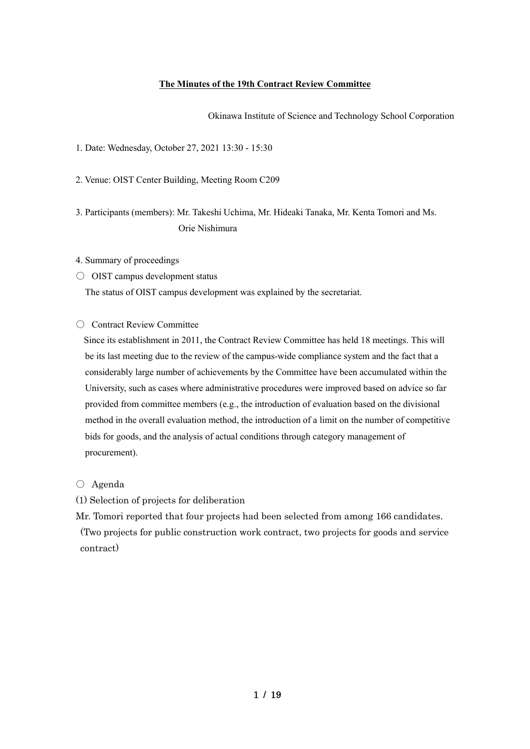### **The Minutes of the 19th Contract Review Committee**

Okinawa Institute of Science and Technology School Corporation

1. Date: Wednesday, October 27, 2021 13:30 - 15:30

2. Venue: OIST Center Building, Meeting Room C209

3. Participants (members): Mr. Takeshi Uchima, Mr. Hideaki Tanaka, Mr. Kenta Tomori and Ms. Orie Nishimura

#### 4. Summary of proceedings

○ OIST campus development status

The status of OIST campus development was explained by the secretariat.

○ Contract Review Committee

Since its establishment in 2011, the Contract Review Committee has held 18 meetings. This will be its last meeting due to the review of the campus-wide compliance system and the fact that a considerably large number of achievements by the Committee have been accumulated within the University, such as cases where administrative procedures were improved based on advice so far provided from committee members (e.g., the introduction of evaluation based on the divisional method in the overall evaluation method, the introduction of a limit on the number of competitive bids for goods, and the analysis of actual conditions through category management of procurement).

○ Agenda

(1) Selection of projects for deliberation

Mr. Tomori reported that four projects had been selected from among 166 candidates. (Two projects for public construction work contract, two projects for goods and service contract)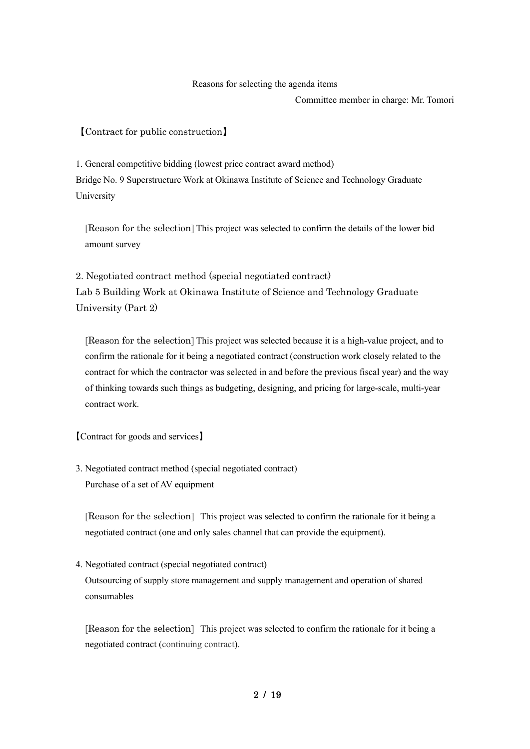#### Reasons for selecting the agenda items

Committee member in charge: Mr. Tomori

【Contract for public construction】

1. General competitive bidding (lowest price contract award method) Bridge No. 9 Superstructure Work at Okinawa Institute of Science and Technology Graduate University

[Reason for the selection] This project was selected to confirm the details of the lower bid amount survey

2. Negotiated contract method (special negotiated contract) Lab 5 Building Work at Okinawa Institute of Science and Technology Graduate University (Part 2)

[Reason for the selection] This project was selected because it is a high-value project, and to confirm the rationale for it being a negotiated contract (construction work closely related to the contract for which the contractor was selected in and before the previous fiscal year) and the way of thinking towards such things as budgeting, designing, and pricing for large-scale, multi-year contract work.

【Contract for goods and services】

3. Negotiated contract method (special negotiated contract) Purchase of a set of AV equipment

[Reason for the selection] This project was selected to confirm the rationale for it being a negotiated contract (one and only sales channel that can provide the equipment).

4. Negotiated contract (special negotiated contract)

Outsourcing of supply store management and supply management and operation of shared consumables

[Reason for the selection] This project was selected to confirm the rationale for it being a negotiated contract (continuing contract).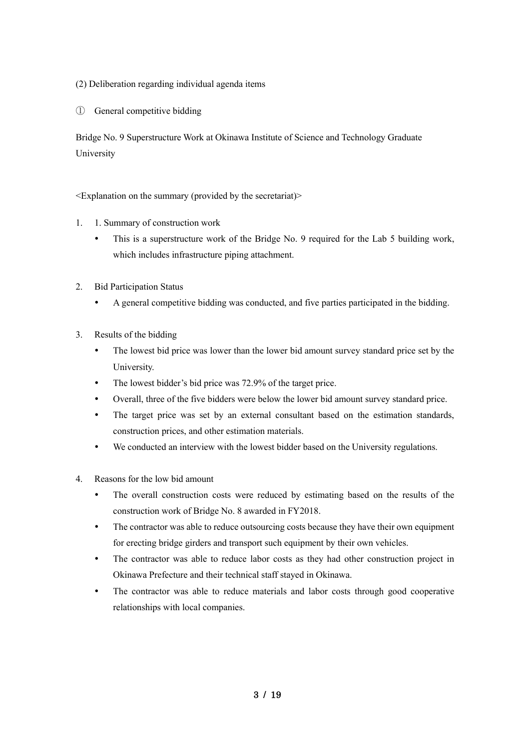(2) Deliberation regarding individual agenda items

① General competitive bidding

Bridge No. 9 Superstructure Work at Okinawa Institute of Science and Technology Graduate University

- 1. 1. Summary of construction work
	- This is a superstructure work of the Bridge No. 9 required for the Lab 5 building work, which includes infrastructure piping attachment.
- 2. Bid Participation Status
	- A general competitive bidding was conducted, and five parties participated in the bidding.
- 3. Results of the bidding
	- The lowest bid price was lower than the lower bid amount survey standard price set by the University.
	- The lowest bidder's bid price was 72.9% of the target price.
	- Overall, three of the five bidders were below the lower bid amount survey standard price.
	- The target price was set by an external consultant based on the estimation standards, construction prices, and other estimation materials.
	- We conducted an interview with the lowest bidder based on the University regulations.
- 4. Reasons for the low bid amount
	- The overall construction costs were reduced by estimating based on the results of the construction work of Bridge No. 8 awarded in FY2018.
	- The contractor was able to reduce outsourcing costs because they have their own equipment for erecting bridge girders and transport such equipment by their own vehicles.
	- The contractor was able to reduce labor costs as they had other construction project in Okinawa Prefecture and their technical staff stayed in Okinawa.
	- The contractor was able to reduce materials and labor costs through good cooperative relationships with local companies.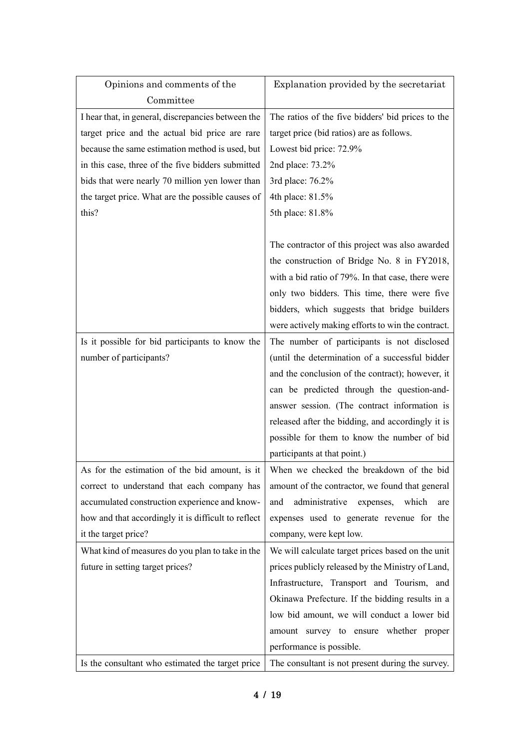| Opinions and comments of the                        | Explanation provided by the secretariat                                                 |
|-----------------------------------------------------|-----------------------------------------------------------------------------------------|
| Committee                                           |                                                                                         |
| I hear that, in general, discrepancies between the  | The ratios of the five bidders' bid prices to the                                       |
| target price and the actual bid price are rare      | target price (bid ratios) are as follows.                                               |
| because the same estimation method is used, but     | Lowest bid price: 72.9%                                                                 |
| in this case, three of the five bidders submitted   | 2nd place: 73.2%                                                                        |
| bids that were nearly 70 million yen lower than     | 3rd place: 76.2%                                                                        |
| the target price. What are the possible causes of   | 4th place: 81.5%                                                                        |
| this?                                               | 5th place: 81.8%                                                                        |
|                                                     |                                                                                         |
|                                                     | The contractor of this project was also awarded                                         |
|                                                     | the construction of Bridge No. 8 in FY2018,                                             |
|                                                     | with a bid ratio of 79%. In that case, there were                                       |
|                                                     | only two bidders. This time, there were five                                            |
|                                                     | bidders, which suggests that bridge builders                                            |
|                                                     | were actively making efforts to win the contract.                                       |
| Is it possible for bid participants to know the     | The number of participants is not disclosed                                             |
| number of participants?                             | (until the determination of a successful bidder                                         |
|                                                     | and the conclusion of the contract); however, it                                        |
|                                                     | can be predicted through the question-and-                                              |
|                                                     | answer session. (The contract information is                                            |
|                                                     | released after the bidding, and accordingly it is                                       |
|                                                     | possible for them to know the number of bid                                             |
|                                                     | participants at that point.)                                                            |
|                                                     | As for the estimation of the bid amount, is it When we checked the breakdown of the bid |
| correct to understand that each company has         | amount of the contractor, we found that general                                         |
| accumulated construction experience and know-       | administrative<br>which<br>expenses,<br>and<br>are                                      |
| how and that accordingly it is difficult to reflect | expenses used to generate revenue for the                                               |
| it the target price?                                | company, were kept low.                                                                 |
| What kind of measures do you plan to take in the    | We will calculate target prices based on the unit                                       |
| future in setting target prices?                    | prices publicly released by the Ministry of Land,                                       |
|                                                     | Infrastructure, Transport and Tourism, and                                              |
|                                                     | Okinawa Prefecture. If the bidding results in a                                         |
|                                                     | low bid amount, we will conduct a lower bid                                             |
|                                                     | amount survey to ensure whether proper                                                  |
|                                                     | performance is possible.                                                                |
| Is the consultant who estimated the target price    | The consultant is not present during the survey.                                        |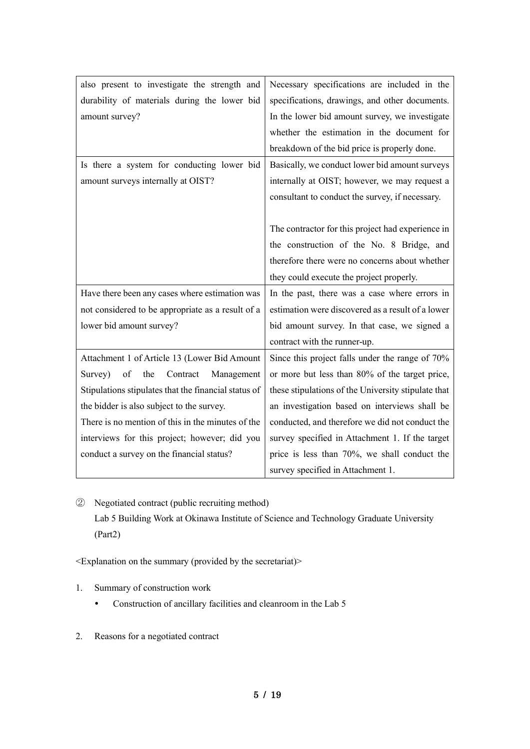| also present to investigate the strength and         | Necessary specifications are included in the        |
|------------------------------------------------------|-----------------------------------------------------|
| durability of materials during the lower bid         | specifications, drawings, and other documents.      |
| amount survey?                                       | In the lower bid amount survey, we investigate      |
|                                                      | whether the estimation in the document for          |
|                                                      | breakdown of the bid price is properly done.        |
| Is there a system for conducting lower bid           | Basically, we conduct lower bid amount surveys      |
| amount surveys internally at OIST?                   | internally at OIST; however, we may request a       |
|                                                      | consultant to conduct the survey, if necessary.     |
|                                                      |                                                     |
|                                                      | The contractor for this project had experience in   |
|                                                      | the construction of the No. 8 Bridge, and           |
|                                                      | therefore there were no concerns about whether      |
|                                                      | they could execute the project properly.            |
| Have there been any cases where estimation was       | In the past, there was a case where errors in       |
| not considered to be appropriate as a result of a    | estimation were discovered as a result of a lower   |
| lower bid amount survey?                             | bid amount survey. In that case, we signed a        |
|                                                      | contract with the runner-up.                        |
| Attachment 1 of Article 13 (Lower Bid Amount         | Since this project falls under the range of 70%     |
| of<br>the<br>Contract<br>Management<br>Survey)       | or more but less than 80% of the target price,      |
| Stipulations stipulates that the financial status of | these stipulations of the University stipulate that |
| the bidder is also subject to the survey.            | an investigation based on interviews shall be       |
| There is no mention of this in the minutes of the    | conducted, and therefore we did not conduct the     |
| interviews for this project; however; did you        | survey specified in Attachment 1. If the target     |
| conduct a survey on the financial status?            | price is less than 70%, we shall conduct the        |
|                                                      | survey specified in Attachment 1.                   |

② Negotiated contract (public recruiting method) Lab 5 Building Work at Okinawa Institute of Science and Technology Graduate University (Part2)

- 1. Summary of construction work
	- Construction of ancillary facilities and cleanroom in the Lab 5
- 2. Reasons for a negotiated contract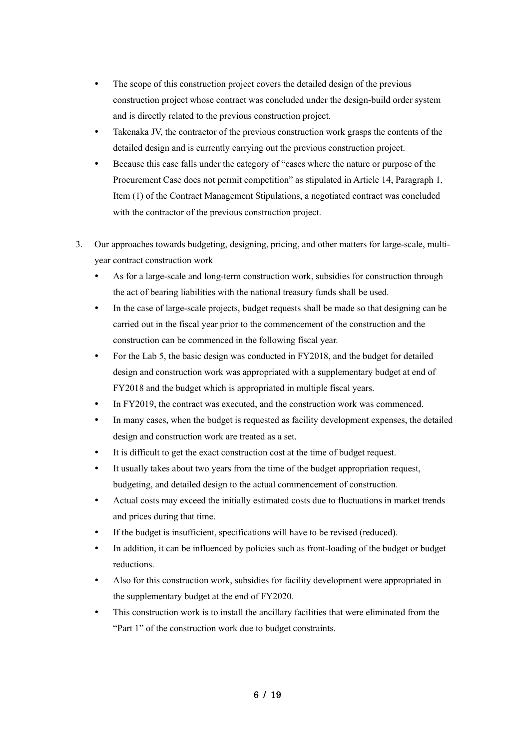- The scope of this construction project covers the detailed design of the previous construction project whose contract was concluded under the design-build order system and is directly related to the previous construction project.
- Takenaka JV, the contractor of the previous construction work grasps the contents of the detailed design and is currently carrying out the previous construction project.
- Because this case falls under the category of "cases where the nature or purpose of the Procurement Case does not permit competition" as stipulated in Article 14, Paragraph 1, Item (1) of the Contract Management Stipulations, a negotiated contract was concluded with the contractor of the previous construction project.
- 3. Our approaches towards budgeting, designing, pricing, and other matters for large-scale, multiyear contract construction work
	- As for a large-scale and long-term construction work, subsidies for construction through the act of bearing liabilities with the national treasury funds shall be used.
	- In the case of large-scale projects, budget requests shall be made so that designing can be carried out in the fiscal year prior to the commencement of the construction and the construction can be commenced in the following fiscal year.
	- For the Lab 5, the basic design was conducted in FY2018, and the budget for detailed design and construction work was appropriated with a supplementary budget at end of FY2018 and the budget which is appropriated in multiple fiscal years.
	- In FY2019, the contract was executed, and the construction work was commenced.
	- In many cases, when the budget is requested as facility development expenses, the detailed design and construction work are treated as a set.
	- It is difficult to get the exact construction cost at the time of budget request.
	- It usually takes about two years from the time of the budget appropriation request, budgeting, and detailed design to the actual commencement of construction.
	- Actual costs may exceed the initially estimated costs due to fluctuations in market trends and prices during that time.
	- If the budget is insufficient, specifications will have to be revised (reduced).
	- In addition, it can be influenced by policies such as front-loading of the budget or budget reductions.
	- Also for this construction work, subsidies for facility development were appropriated in the supplementary budget at the end of FY2020.
	- This construction work is to install the ancillary facilities that were eliminated from the "Part 1" of the construction work due to budget constraints.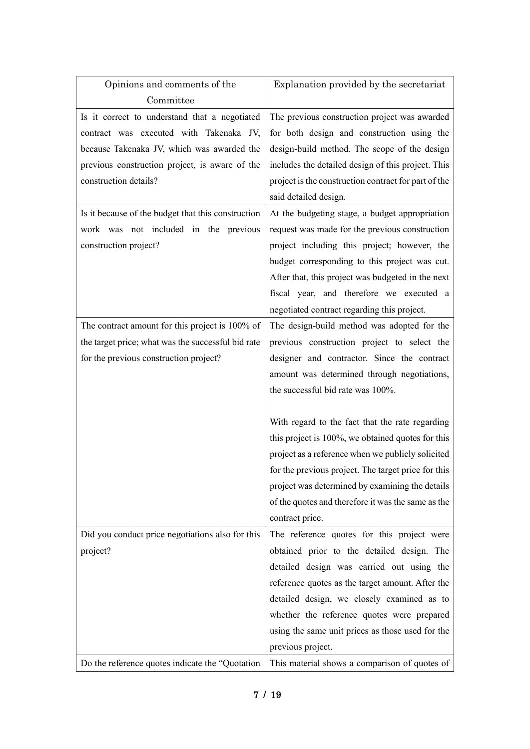| Opinions and comments of the                       | Explanation provided by the secretariat              |
|----------------------------------------------------|------------------------------------------------------|
| Committee                                          |                                                      |
| Is it correct to understand that a negotiated      | The previous construction project was awarded        |
| contract was executed with Takenaka JV,            | for both design and construction using the           |
| because Takenaka JV, which was awarded the         | design-build method. The scope of the design         |
| previous construction project, is aware of the     | includes the detailed design of this project. This   |
| construction details?                              | project is the construction contract for part of the |
|                                                    | said detailed design.                                |
| Is it because of the budget that this construction | At the budgeting stage, a budget appropriation       |
| work was not included in the previous              | request was made for the previous construction       |
| construction project?                              | project including this project; however, the         |
|                                                    | budget corresponding to this project was cut.        |
|                                                    | After that, this project was budgeted in the next    |
|                                                    | fiscal year, and therefore we executed a             |
|                                                    | negotiated contract regarding this project.          |
| The contract amount for this project is 100% of    | The design-build method was adopted for the          |
| the target price; what was the successful bid rate | previous construction project to select the          |
| for the previous construction project?             | designer and contractor. Since the contract          |
|                                                    | amount was determined through negotiations,          |
|                                                    | the successful bid rate was 100%.                    |
|                                                    |                                                      |
|                                                    | With regard to the fact that the rate regarding      |
|                                                    | this project is 100%, we obtained quotes for this    |
|                                                    | project as a reference when we publicly solicited    |
|                                                    | for the previous project. The target price for this  |
|                                                    | project was determined by examining the details      |
|                                                    | of the quotes and therefore it was the same as the   |
|                                                    | contract price.                                      |
| Did you conduct price negotiations also for this   | The reference quotes for this project were           |
| project?                                           | obtained prior to the detailed design. The           |
|                                                    | detailed design was carried out using the            |
|                                                    | reference quotes as the target amount. After the     |
|                                                    | detailed design, we closely examined as to           |
|                                                    | whether the reference quotes were prepared           |
|                                                    | using the same unit prices as those used for the     |
|                                                    | previous project.                                    |
| Do the reference quotes indicate the "Quotation"   | This material shows a comparison of quotes of        |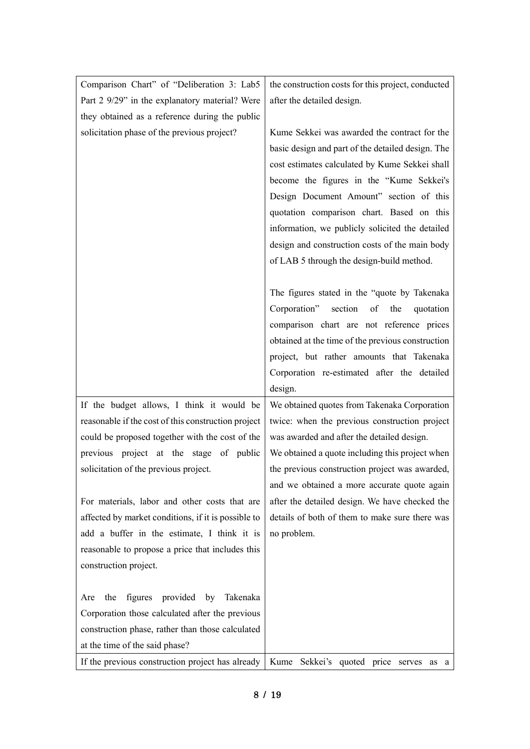| Comparison Chart" of "Deliberation 3: Lab5          | the construction costs for this project, conducted |
|-----------------------------------------------------|----------------------------------------------------|
| Part 2 9/29" in the explanatory material? Were      | after the detailed design.                         |
| they obtained as a reference during the public      |                                                    |
| solicitation phase of the previous project?         | Kume Sekkei was awarded the contract for the       |
|                                                     | basic design and part of the detailed design. The  |
|                                                     | cost estimates calculated by Kume Sekkei shall     |
|                                                     | become the figures in the "Kume Sekkei's           |
|                                                     | Design Document Amount" section of this            |
|                                                     | quotation comparison chart. Based on this          |
|                                                     | information, we publicly solicited the detailed    |
|                                                     | design and construction costs of the main body     |
|                                                     | of LAB 5 through the design-build method.          |
|                                                     |                                                    |
|                                                     | The figures stated in the "quote by Takenaka"      |
|                                                     | section<br>Corporation"<br>of<br>the<br>quotation  |
|                                                     | comparison chart are not reference prices          |
|                                                     | obtained at the time of the previous construction  |
|                                                     | project, but rather amounts that Takenaka          |
|                                                     | Corporation re-estimated after the detailed        |
|                                                     | design.                                            |
| If the budget allows, I think it would be           | We obtained quotes from Takenaka Corporation       |
| reasonable if the cost of this construction project | twice: when the previous construction project      |
| could be proposed together with the cost of the     | was awarded and after the detailed design.         |
| previous project at the stage of public             | We obtained a quote including this project when    |
| solicitation of the previous project.               | the previous construction project was awarded,     |
|                                                     | and we obtained a more accurate quote again        |
| For materials, labor and other costs that are       | after the detailed design. We have checked the     |
| affected by market conditions, if it is possible to | details of both of them to make sure there was     |
| add a buffer in the estimate, I think it is         | no problem.                                        |
| reasonable to propose a price that includes this    |                                                    |
| construction project.                               |                                                    |
|                                                     |                                                    |
| figures provided by Takenaka<br>the<br>Are          |                                                    |
| Corporation those calculated after the previous     |                                                    |
| construction phase, rather than those calculated    |                                                    |
| at the time of the said phase?                      |                                                    |
| If the previous construction project has already    | Kume Sekkei's quoted price serves<br>as a          |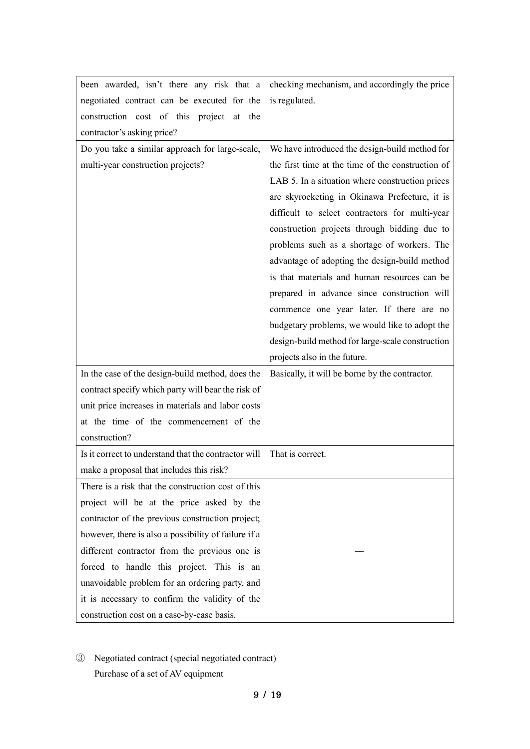| been awarded, isn't there any risk that a            | checking mechanism, and accordingly the price     |
|------------------------------------------------------|---------------------------------------------------|
| negotiated contract can be executed for the          | is regulated.                                     |
| construction cost of this project at the             |                                                   |
| contractor's asking price?                           |                                                   |
| Do you take a similar approach for large-scale,      | We have introduced the design-build method for    |
| multi-year construction projects?                    | the first time at the time of the construction of |
|                                                      | LAB 5. In a situation where construction prices   |
|                                                      | are skyrocketing in Okinawa Prefecture, it is     |
|                                                      | difficult to select contractors for multi-year    |
|                                                      | construction projects through bidding due to      |
|                                                      | problems such as a shortage of workers. The       |
|                                                      | advantage of adopting the design-build method     |
|                                                      | is that materials and human resources can be      |
|                                                      | prepared in advance since construction will       |
|                                                      | commence one year later. If there are no          |
|                                                      | budgetary problems, we would like to adopt the    |
|                                                      | design-build method for large-scale construction  |
|                                                      | projects also in the future.                      |
| In the case of the design-build method, does the     | Basically, it will be borne by the contractor.    |
| contract specify which party will bear the risk of   |                                                   |
| unit price increases in materials and labor costs    |                                                   |
| at the time of the commencement of the               |                                                   |
| construction?                                        |                                                   |
| Is it correct to understand that the contractor will | That is correct.                                  |
| make a proposal that includes this risk?             |                                                   |
| There is a risk that the construction cost of this   |                                                   |
| project will be at the price asked by the            |                                                   |
| contractor of the previous construction project;     |                                                   |
| however, there is also a possibility of failure if a |                                                   |
| different contractor from the previous one is        |                                                   |
| forced to handle this project. This is an            |                                                   |
| unavoidable problem for an ordering party, and       |                                                   |
| it is necessary to confirm the validity of the       |                                                   |
|                                                      |                                                   |

③ Negotiated contract (special negotiated contract) Purchase of a set of AV equipment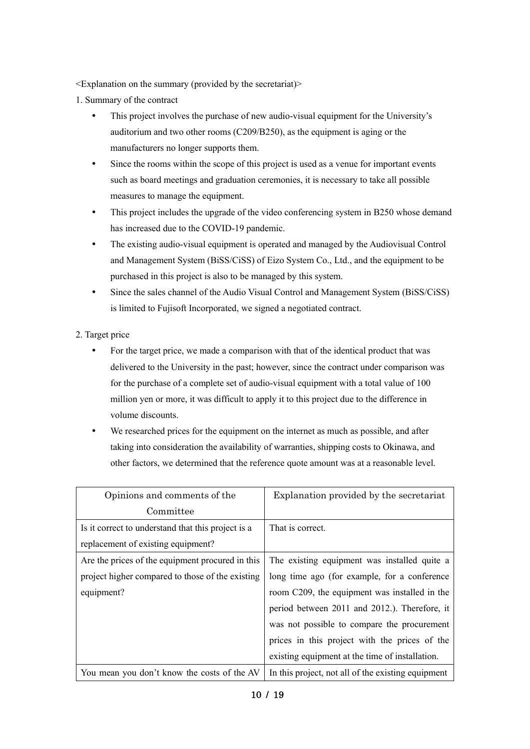<Explanation on the summary (provided by the secretariat)>

- 1. Summary of the contract
	- This project involves the purchase of new audio-visual equipment for the University's auditorium and two other rooms (C209/B250), as the equipment is aging or the manufacturers no longer supports them.
	- Since the rooms within the scope of this project is used as a venue for important events such as board meetings and graduation ceremonies, it is necessary to take all possible measures to manage the equipment.
	- This project includes the upgrade of the video conferencing system in B250 whose demand has increased due to the COVID-19 pandemic.
	- The existing audio-visual equipment is operated and managed by the Audiovisual Control and Management System (BiSS/CiSS) of Eizo System Co., Ltd., and the equipment to be purchased in this project is also to be managed by this system.
	- Since the sales channel of the Audio Visual Control and Management System (BiSS/CiSS) is limited to Fujisoft Incorporated, we signed a negotiated contract.
- 2. Target price
	- For the target price, we made a comparison with that of the identical product that was delivered to the University in the past; however, since the contract under comparison was for the purchase of a complete set of audio-visual equipment with a total value of 100 million yen or more, it was difficult to apply it to this project due to the difference in volume discounts.
	- We researched prices for the equipment on the internet as much as possible, and after taking into consideration the availability of warranties, shipping costs to Okinawa, and other factors, we determined that the reference quote amount was at a reasonable level.

| Opinions and comments of the                       | Explanation provided by the secretariat            |
|----------------------------------------------------|----------------------------------------------------|
| Committee                                          |                                                    |
| Is it correct to understand that this project is a | That is correct.                                   |
| replacement of existing equipment?                 |                                                    |
| Are the prices of the equipment procured in this   | The existing equipment was installed quite a       |
| project higher compared to those of the existing   | long time ago (for example, for a conference       |
| equipment?                                         | room C209, the equipment was installed in the      |
|                                                    | period between 2011 and 2012.). Therefore, it      |
|                                                    | was not possible to compare the procurement        |
|                                                    | prices in this project with the prices of the      |
|                                                    | existing equipment at the time of installation.    |
| You mean you don't know the costs of the AV        | In this project, not all of the existing equipment |

10 / 19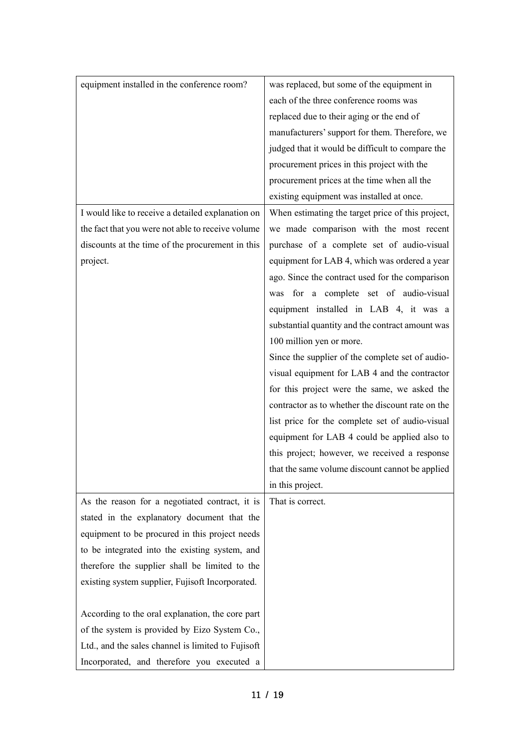| equipment installed in the conference room?        | was replaced, but some of the equipment in        |
|----------------------------------------------------|---------------------------------------------------|
|                                                    | each of the three conference rooms was            |
|                                                    | replaced due to their aging or the end of         |
|                                                    | manufacturers' support for them. Therefore, we    |
|                                                    | judged that it would be difficult to compare the  |
|                                                    | procurement prices in this project with the       |
|                                                    | procurement prices at the time when all the       |
|                                                    | existing equipment was installed at once.         |
| I would like to receive a detailed explanation on  | When estimating the target price of this project, |
| the fact that you were not able to receive volume  | we made comparison with the most recent           |
| discounts at the time of the procurement in this   | purchase of a complete set of audio-visual        |
| project.                                           | equipment for LAB 4, which was ordered a year     |
|                                                    | ago. Since the contract used for the comparison   |
|                                                    | was for a complete set of audio-visual            |
|                                                    | equipment installed in LAB 4, it was a            |
|                                                    | substantial quantity and the contract amount was  |
|                                                    | 100 million yen or more.                          |
|                                                    | Since the supplier of the complete set of audio-  |
|                                                    | visual equipment for LAB 4 and the contractor     |
|                                                    | for this project were the same, we asked the      |
|                                                    | contractor as to whether the discount rate on the |
|                                                    | list price for the complete set of audio-visual   |
|                                                    | equipment for LAB 4 could be applied also to      |
|                                                    | this project; however, we received a response     |
|                                                    | that the same volume discount cannot be applied   |
|                                                    | in this project.                                  |
| As the reason for a negotiated contract, it is     | That is correct.                                  |
| stated in the explanatory document that the        |                                                   |
| equipment to be procured in this project needs     |                                                   |
| to be integrated into the existing system, and     |                                                   |
| therefore the supplier shall be limited to the     |                                                   |
| existing system supplier, Fujisoft Incorporated.   |                                                   |
|                                                    |                                                   |
| According to the oral explanation, the core part   |                                                   |
| of the system is provided by Eizo System Co.,      |                                                   |
| Ltd., and the sales channel is limited to Fujisoft |                                                   |
| Incorporated, and therefore you executed a         |                                                   |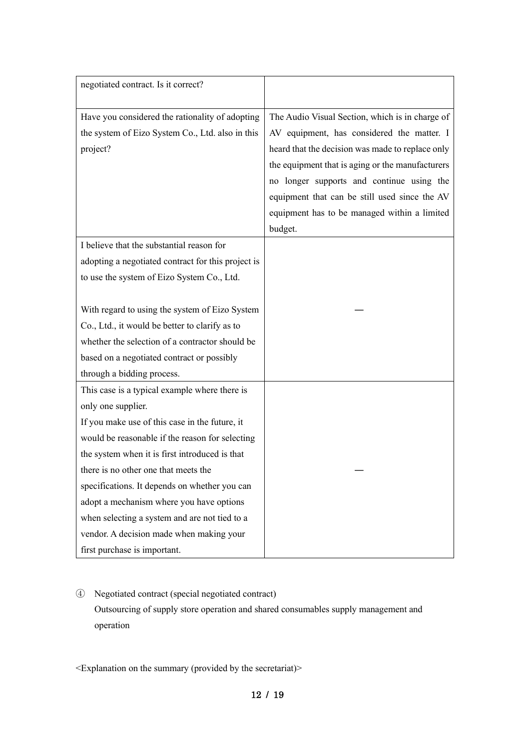| negotiated contract. Is it correct?                |                                                  |
|----------------------------------------------------|--------------------------------------------------|
|                                                    |                                                  |
| Have you considered the rationality of adopting    | The Audio Visual Section, which is in charge of  |
| the system of Eizo System Co., Ltd. also in this   | AV equipment, has considered the matter. I       |
| project?                                           | heard that the decision was made to replace only |
|                                                    | the equipment that is aging or the manufacturers |
|                                                    | no longer supports and continue using the        |
|                                                    | equipment that can be still used since the AV    |
|                                                    | equipment has to be managed within a limited     |
|                                                    | budget.                                          |
| I believe that the substantial reason for          |                                                  |
| adopting a negotiated contract for this project is |                                                  |
| to use the system of Eizo System Co., Ltd.         |                                                  |
|                                                    |                                                  |
| With regard to using the system of Eizo System     |                                                  |
| Co., Ltd., it would be better to clarify as to     |                                                  |
| whether the selection of a contractor should be    |                                                  |
| based on a negotiated contract or possibly         |                                                  |
| through a bidding process.                         |                                                  |
| This case is a typical example where there is      |                                                  |
| only one supplier.                                 |                                                  |
| If you make use of this case in the future, it     |                                                  |
| would be reasonable if the reason for selecting    |                                                  |
| the system when it is first introduced is that     |                                                  |
| there is no other one that meets the               |                                                  |
| specifications. It depends on whether you can      |                                                  |
| adopt a mechanism where you have options           |                                                  |
| when selecting a system and are not tied to a      |                                                  |
| vendor. A decision made when making your           |                                                  |
| first purchase is important.                       |                                                  |

④ Negotiated contract (special negotiated contract) Outsourcing of supply store operation and shared consumables supply management and operation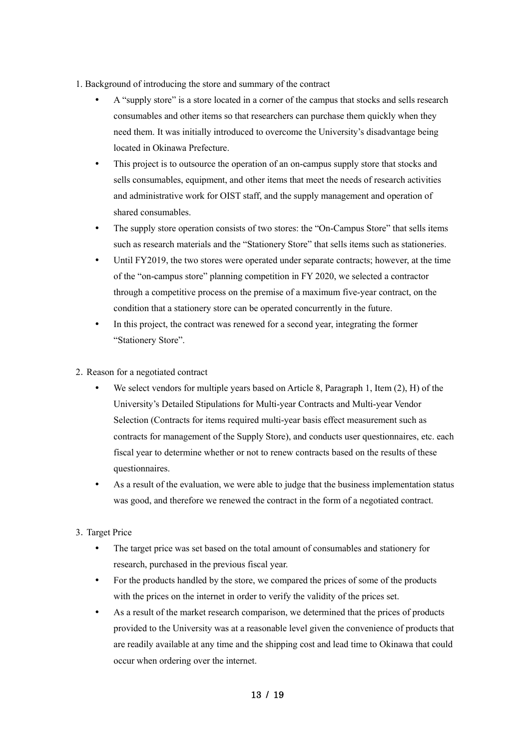- 1. Background of introducing the store and summary of the contract
	- A "supply store" is a store located in a corner of the campus that stocks and sells research consumables and other items so that researchers can purchase them quickly when they need them. It was initially introduced to overcome the University's disadvantage being located in Okinawa Prefecture.
	- This project is to outsource the operation of an on-campus supply store that stocks and sells consumables, equipment, and other items that meet the needs of research activities and administrative work for OIST staff, and the supply management and operation of shared consumables.
	- The supply store operation consists of two stores: the "On-Campus Store" that sells items such as research materials and the "Stationery Store" that sells items such as stationeries.
	- Until FY2019, the two stores were operated under separate contracts; however, at the time of the "on-campus store" planning competition in FY 2020, we selected a contractor through a competitive process on the premise of a maximum five-year contract, on the condition that a stationery store can be operated concurrently in the future.
	- In this project, the contract was renewed for a second year, integrating the former "Stationery Store".
- 2.Reason for a negotiated contract
	- We select vendors for multiple years based on Article 8, Paragraph 1, Item  $(2)$ , H) of the University's Detailed Stipulations for Multi-year Contracts and Multi-year Vendor Selection (Contracts for items required multi-year basis effect measurement such as contracts for management of the Supply Store), and conducts user questionnaires, etc. each fiscal year to determine whether or not to renew contracts based on the results of these questionnaires.
	- As a result of the evaluation, we were able to judge that the business implementation status was good, and therefore we renewed the contract in the form of a negotiated contract.

# 3.Target Price

- The target price was set based on the total amount of consumables and stationery for research, purchased in the previous fiscal year.
- For the products handled by the store, we compared the prices of some of the products with the prices on the internet in order to verify the validity of the prices set.
- As a result of the market research comparison, we determined that the prices of products provided to the University was at a reasonable level given the convenience of products that are readily available at any time and the shipping cost and lead time to Okinawa that could occur when ordering over the internet.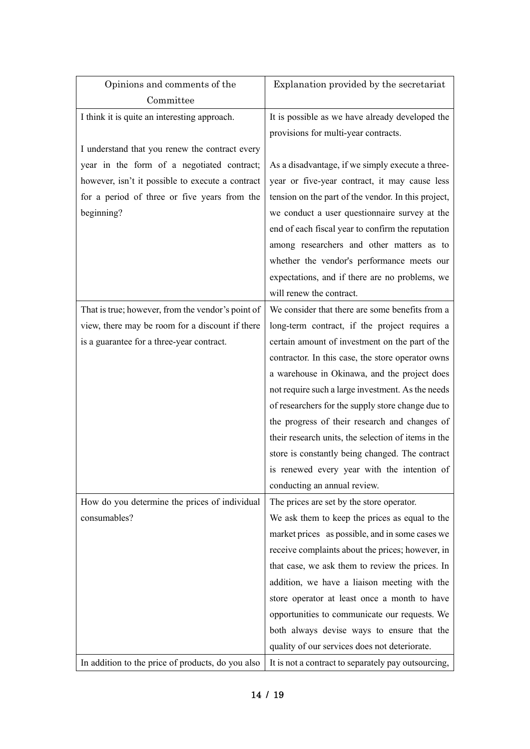| Opinions and comments of the                      | Explanation provided by the secretariat             |
|---------------------------------------------------|-----------------------------------------------------|
| Committee                                         |                                                     |
| I think it is quite an interesting approach.      | It is possible as we have already developed the     |
|                                                   | provisions for multi-year contracts.                |
| I understand that you renew the contract every    |                                                     |
| year in the form of a negotiated contract;        | As a disadvantage, if we simply execute a three-    |
| however, isn't it possible to execute a contract  | year or five-year contract, it may cause less       |
| for a period of three or five years from the      | tension on the part of the vendor. In this project, |
| beginning?                                        | we conduct a user questionnaire survey at the       |
|                                                   | end of each fiscal year to confirm the reputation   |
|                                                   | among researchers and other matters as to           |
|                                                   | whether the vendor's performance meets our          |
|                                                   | expectations, and if there are no problems, we      |
|                                                   | will renew the contract.                            |
| That is true; however, from the vendor's point of | We consider that there are some benefits from a     |
| view, there may be room for a discount if there   | long-term contract, if the project requires a       |
| is a guarantee for a three-year contract.         | certain amount of investment on the part of the     |
|                                                   | contractor. In this case, the store operator owns   |
|                                                   | a warehouse in Okinawa, and the project does        |
|                                                   | not require such a large investment. As the needs   |
|                                                   | of researchers for the supply store change due to   |
|                                                   | the progress of their research and changes of       |
|                                                   | their research units, the selection of items in the |
|                                                   | store is constantly being changed. The contract     |
|                                                   | is renewed every year with the intention of         |
|                                                   | conducting an annual review.                        |
| How do you determine the prices of individual     | The prices are set by the store operator.           |
| consumables?                                      | We ask them to keep the prices as equal to the      |
|                                                   | market prices as possible, and in some cases we     |
|                                                   | receive complaints about the prices; however, in    |
|                                                   | that case, we ask them to review the prices. In     |
|                                                   | addition, we have a liaison meeting with the        |
|                                                   | store operator at least once a month to have        |
|                                                   | opportunities to communicate our requests. We       |
|                                                   | both always devise ways to ensure that the          |
|                                                   | quality of our services does not deteriorate.       |
| In addition to the price of products, do you also | It is not a contract to separately pay outsourcing, |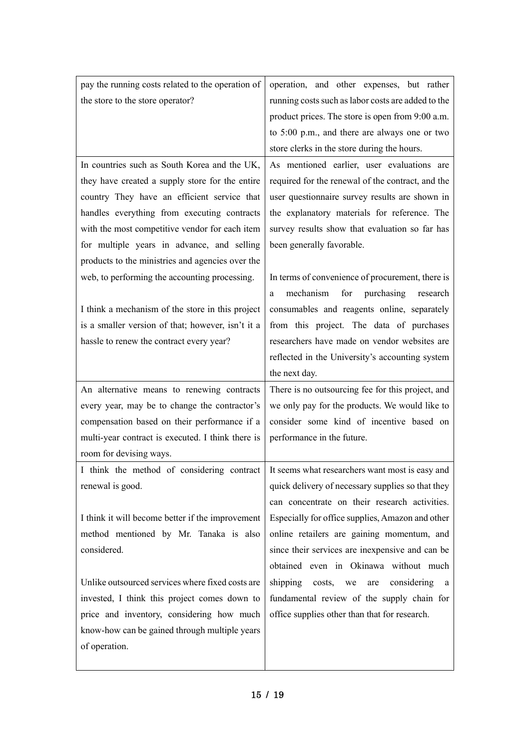| pay the running costs related to the operation of | operation, and other expenses, but rather                                                  |
|---------------------------------------------------|--------------------------------------------------------------------------------------------|
| the store to the store operator?                  | running costs such as labor costs are added to the                                         |
|                                                   | product prices. The store is open from 9:00 a.m.                                           |
|                                                   | to 5:00 p.m., and there are always one or two                                              |
|                                                   | store clerks in the store during the hours.                                                |
| In countries such as South Korea and the UK,      | As mentioned earlier, user evaluations are                                                 |
| they have created a supply store for the entire   | required for the renewal of the contract, and the                                          |
| country They have an efficient service that       | user questionnaire survey results are shown in                                             |
| handles everything from executing contracts       | the explanatory materials for reference. The                                               |
| with the most competitive vendor for each item    | survey results show that evaluation so far has                                             |
| for multiple years in advance, and selling        | been generally favorable.                                                                  |
| products to the ministries and agencies over the  |                                                                                            |
| web, to performing the accounting processing.     | In terms of convenience of procurement, there is                                           |
|                                                   | mechanism<br>for<br>purchasing<br>research<br>a                                            |
| I think a mechanism of the store in this project  | consumables and reagents online, separately                                                |
| is a smaller version of that; however, isn't it a | from this project. The data of purchases                                                   |
| hassle to renew the contract every year?          | researchers have made on vendor websites are                                               |
|                                                   | reflected in the University's accounting system                                            |
|                                                   |                                                                                            |
|                                                   | the next day.                                                                              |
| An alternative means to renewing contracts        | There is no outsourcing fee for this project, and                                          |
| every year, may be to change the contractor's     | we only pay for the products. We would like to                                             |
| compensation based on their performance if a      | consider some kind of incentive based on                                                   |
| multi-year contract is executed. I think there is | performance in the future.                                                                 |
| room for devising ways.                           |                                                                                            |
|                                                   | I think the method of considering contract It seems what researchers want most is easy and |
| renewal is good.                                  | quick delivery of necessary supplies so that they                                          |
|                                                   | can concentrate on their research activities.                                              |
| I think it will become better if the improvement  | Especially for office supplies, Amazon and other                                           |
| method mentioned by Mr. Tanaka is also            | online retailers are gaining momentum, and                                                 |
| considered.                                       | since their services are inexpensive and can be                                            |
|                                                   | obtained even in Okinawa without much                                                      |
| Unlike outsourced services where fixed costs are  | shipping<br>considering<br>costs, we<br>are<br>a a                                         |
| invested, I think this project comes down to      | fundamental review of the supply chain for                                                 |
| price and inventory, considering how much         | office supplies other than that for research.                                              |
| know-how can be gained through multiple years     |                                                                                            |
| of operation.                                     |                                                                                            |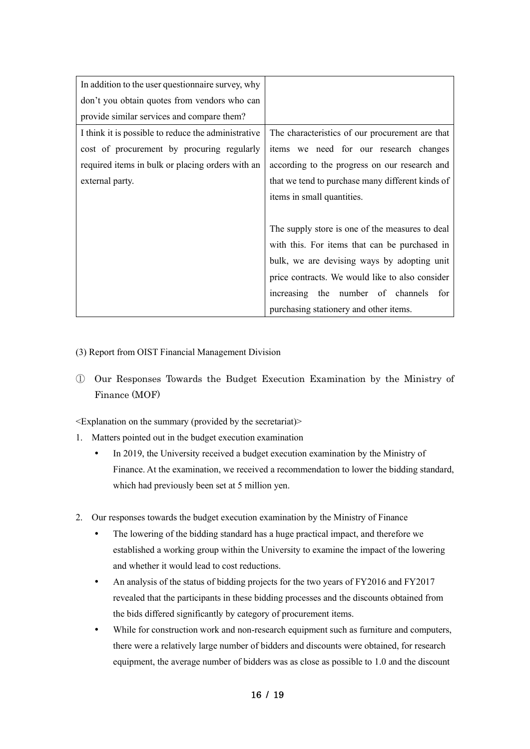| In addition to the user question aire survey, why   |                                                  |
|-----------------------------------------------------|--------------------------------------------------|
| don't you obtain quotes from vendors who can        |                                                  |
| provide similar services and compare them?          |                                                  |
| I think it is possible to reduce the administrative | The characteristics of our procurement are that  |
| cost of procurement by procuring regularly          | items we need for our research changes           |
| required items in bulk or placing orders with an    | according to the progress on our research and    |
| external party.                                     | that we tend to purchase many different kinds of |
|                                                     | items in small quantities.                       |
|                                                     |                                                  |
|                                                     | The supply store is one of the measures to deal  |
|                                                     | with this. For items that can be purchased in    |
|                                                     | bulk, we are devising ways by adopting unit      |
|                                                     | price contracts. We would like to also consider  |
|                                                     | increasing the number of channels<br>for         |
|                                                     | purchasing stationery and other items.           |

### (3) Report from OIST Financial Management Division

① Our Responses Towards the Budget Execution Examination by the Ministry of Finance (MOF)

- 1. Matters pointed out in the budget execution examination
	- In 2019, the University received a budget execution examination by the Ministry of Finance. At the examination, we received a recommendation to lower the bidding standard, which had previously been set at 5 million yen.
- 2. Our responses towards the budget execution examination by the Ministry of Finance
	- The lowering of the bidding standard has a huge practical impact, and therefore we established a working group within the University to examine the impact of the lowering and whether it would lead to cost reductions.
	- An analysis of the status of bidding projects for the two years of FY2016 and FY2017 revealed that the participants in these bidding processes and the discounts obtained from the bids differed significantly by category of procurement items.
	- While for construction work and non-research equipment such as furniture and computers, there were a relatively large number of bidders and discounts were obtained, for research equipment, the average number of bidders was as close as possible to 1.0 and the discount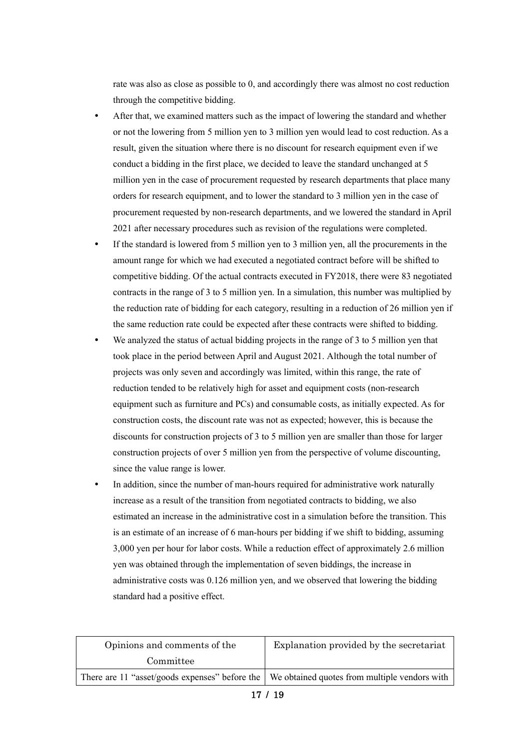rate was also as close as possible to 0, and accordingly there was almost no cost reduction through the competitive bidding.

- After that, we examined matters such as the impact of lowering the standard and whether or not the lowering from 5 million yen to 3 million yen would lead to cost reduction. As a result, given the situation where there is no discount for research equipment even if we conduct a bidding in the first place, we decided to leave the standard unchanged at 5 million yen in the case of procurement requested by research departments that place many orders for research equipment, and to lower the standard to 3 million yen in the case of procurement requested by non-research departments, and we lowered the standard in April 2021 after necessary procedures such as revision of the regulations were completed.
- If the standard is lowered from 5 million yen to 3 million yen, all the procurements in the amount range for which we had executed a negotiated contract before will be shifted to competitive bidding. Of the actual contracts executed in FY2018, there were 83 negotiated contracts in the range of 3 to 5 million yen. In a simulation, this number was multiplied by the reduction rate of bidding for each category, resulting in a reduction of 26 million yen if the same reduction rate could be expected after these contracts were shifted to bidding.
- We analyzed the status of actual bidding projects in the range of 3 to 5 million yen that took place in the period between April and August 2021. Although the total number of projects was only seven and accordingly was limited, within this range, the rate of reduction tended to be relatively high for asset and equipment costs (non-research equipment such as furniture and PCs) and consumable costs, as initially expected. As for construction costs, the discount rate was not as expected; however, this is because the discounts for construction projects of 3 to 5 million yen are smaller than those for larger construction projects of over 5 million yen from the perspective of volume discounting, since the value range is lower.
- In addition, since the number of man-hours required for administrative work naturally increase as a result of the transition from negotiated contracts to bidding, we also estimated an increase in the administrative cost in a simulation before the transition. This is an estimate of an increase of 6 man-hours per bidding if we shift to bidding, assuming 3,000 yen per hour for labor costs. While a reduction effect of approximately 2.6 million yen was obtained through the implementation of seven biddings, the increase in administrative costs was 0.126 million yen, and we observed that lowering the bidding standard had a positive effect.

| Opinions and comments of the                                                                   | Explanation provided by the secretariat |
|------------------------------------------------------------------------------------------------|-----------------------------------------|
| Committee                                                                                      |                                         |
| There are 11 "asset/goods expenses" before the   We obtained quotes from multiple vendors with |                                         |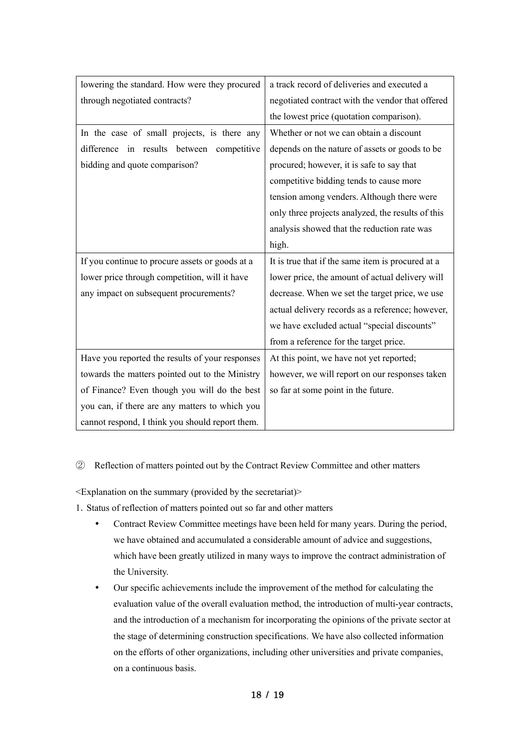| lowering the standard. How were they procured   | a track record of deliveries and executed a       |
|-------------------------------------------------|---------------------------------------------------|
| through negotiated contracts?                   | negotiated contract with the vendor that offered  |
|                                                 | the lowest price (quotation comparison).          |
| In the case of small projects, is there any     | Whether or not we can obtain a discount           |
| difference in results between competitive       | depends on the nature of assets or goods to be    |
| bidding and quote comparison?                   | procured; however, it is safe to say that         |
|                                                 | competitive bidding tends to cause more           |
|                                                 | tension among venders. Although there were        |
|                                                 | only three projects analyzed, the results of this |
|                                                 | analysis showed that the reduction rate was       |
|                                                 | high.                                             |
| If you continue to procure assets or goods at a | It is true that if the same item is procured at a |
| lower price through competition, will it have   | lower price, the amount of actual delivery will   |
| any impact on subsequent procurements?          | decrease. When we set the target price, we use    |
|                                                 | actual delivery records as a reference; however,  |
|                                                 | we have excluded actual "special discounts"       |
|                                                 | from a reference for the target price.            |
| Have you reported the results of your responses | At this point, we have not yet reported;          |
| towards the matters pointed out to the Ministry | however, we will report on our responses taken    |
| of Finance? Even though you will do the best    | so far at some point in the future.               |
| you can, if there are any matters to which you  |                                                   |
| cannot respond, I think you should report them. |                                                   |

# ② Reflection of matters pointed out by the Contract Review Committee and other matters

- 1.Status of reflection of matters pointed out so far and other matters
	- Contract Review Committee meetings have been held for many years. During the period, we have obtained and accumulated a considerable amount of advice and suggestions, which have been greatly utilized in many ways to improve the contract administration of the University.
	- Our specific achievements include the improvement of the method for calculating the evaluation value of the overall evaluation method, the introduction of multi-year contracts, and the introduction of a mechanism for incorporating the opinions of the private sector at the stage of determining construction specifications. We have also collected information on the efforts of other organizations, including other universities and private companies, on a continuous basis.